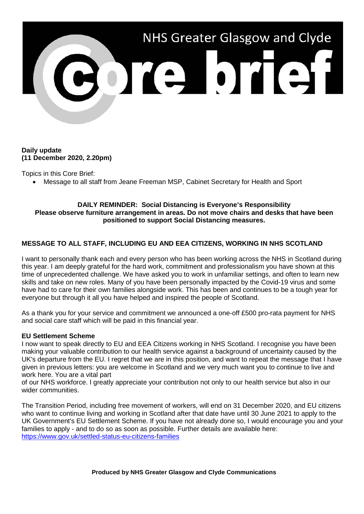

## **Daily update (11 December 2020, 2.20pm)**

Topics in this Core Brief:

• Message to all staff from Jeane Freeman MSP, Cabinet Secretary for Health and Sport

#### **DAILY REMINDER: Social Distancing is Everyone's Responsibility Please observe furniture arrangement in areas. Do not move chairs and desks that have been positioned to support Social Distancing measures.**

# **MESSAGE TO ALL STAFF, INCLUDING EU AND EEA CITIZENS, WORKING IN NHS SCOTLAND**

I want to personally thank each and every person who has been working across the NHS in Scotland during this year. I am deeply grateful for the hard work, commitment and professionalism you have shown at this time of unprecedented challenge. We have asked you to work in unfamiliar settings, and often to learn new skills and take on new roles. Many of you have been personally impacted by the Covid-19 virus and some have had to care for their own families alongside work. This has been and continues to be a tough year for everyone but through it all you have helped and inspired the people of Scotland.

As a thank you for your service and commitment we announced a one-off £500 pro-rata payment for NHS and social care staff which will be paid in this financial year.

### **EU Settlement Scheme**

I now want to speak directly to EU and EEA Citizens working in NHS Scotland. I recognise you have been making your valuable contribution to our health service against a background of uncertainty caused by the UK's departure from the EU. I regret that we are in this position, and want to repeat the message that I have given in previous letters: you are welcome in Scotland and we very much want you to continue to live and work here. You are a vital part

of our NHS workforce. I greatly appreciate your contribution not only to our health service but also in our wider communities.

The Transition Period, including free movement of workers, will end on 31 December 2020, and EU citizens who want to continue living and working in Scotland after that date have until 30 June 2021 to apply to the UK Government's EU Settlement Scheme. If you have not already done so, I would encourage you and your families to apply - and to do so as soon as possible. Further details are available here: <https://www.gov.uk/settled-status-eu-citizens-families>